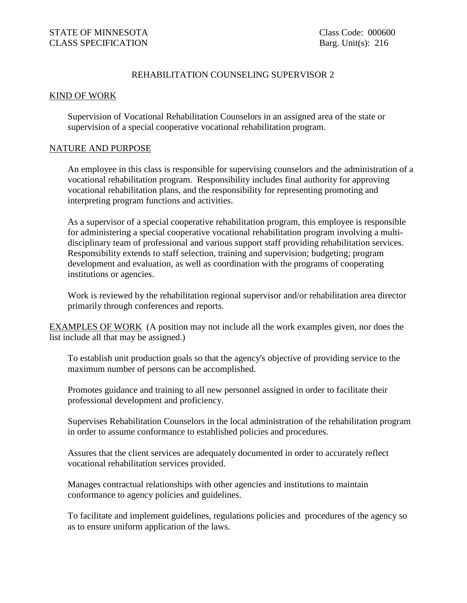## REHABILITATION COUNSELING SUPERVISOR 2

## KIND OF WORK

Supervision of Vocational Rehabilitation Counselors in an assigned area of the state or supervision of a special cooperative vocational rehabilitation program.

## NATURE AND PURPOSE

An employee in this class is responsible for supervising counselors and the administration of a vocational rehabilitation program. Responsibility includes final authority for approving vocational rehabilitation plans, and the responsibility for representing promoting and interpreting program functions and activities.

As a supervisor of a special cooperative rehabilitation program, this employee is responsible for administering a special cooperative vocational rehabilitation program involving a multidisciplinary team of professional and various support staff providing rehabilitation services. Responsibility extends to staff selection, training and supervision; budgeting; program development and evaluation, as well as coordination with the programs of cooperating institutions or agencies.

Work is reviewed by the rehabilitation regional supervisor and/or rehabilitation area director primarily through conferences and reports.

EXAMPLES OF WORK (A position may not include all the work examples given, nor does the list include all that may be assigned.)

To establish unit production goals so that the agency's objective of providing service to the maximum number of persons can be accomplished.

Promotes guidance and training to all new personnel assigned in order to facilitate their professional development and proficiency.

Supervises Rehabilitation Counselors in the local administration of the rehabilitation program in order to assume conformance to established policies and procedures.

Assures that the client services are adequately documented in order to accurately reflect vocational rehabilitation services provided.

Manages contractual relationships with other agencies and institutions to maintain conformance to agency policies and guidelines.

To facilitate and implement guidelines, regulations policies and procedures of the agency so as to ensure uniform application of the laws.